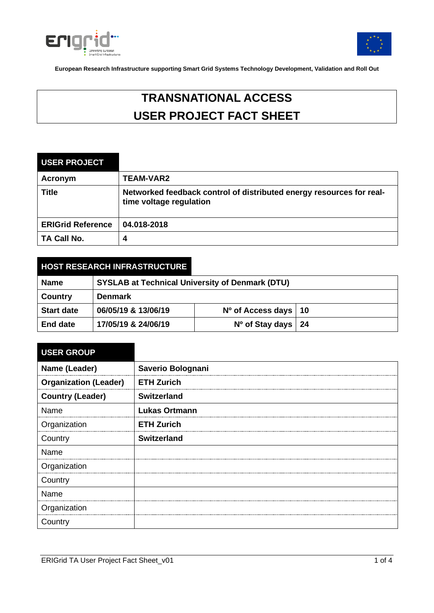



# **TRANSNATIONAL ACCESS USER PROJECT FACT SHEET**

| <b>USER PROJECT</b>      |                                                                                                 |
|--------------------------|-------------------------------------------------------------------------------------------------|
| Acronym                  | <b>TEAM-VAR2</b>                                                                                |
| <b>Title</b>             | Networked feedback control of distributed energy resources for real-<br>time voltage regulation |
| <b>ERIGrid Reference</b> | 04.018-2018                                                                                     |
| TA Call No.              | 4                                                                                               |

# **HOST RESEARCH INFRASTRUCTURE**

| Name              | <b>SYSLAB at Technical University of Denmark (DTU)</b> |                          |  |
|-------------------|--------------------------------------------------------|--------------------------|--|
| <b>Country</b>    | <b>Denmark</b>                                         |                          |  |
| <b>Start date</b> | 06/05/19 & 13/06/19                                    | $No$ of Access days   10 |  |
| <b>End date</b>   | 17/05/19 & 24/06/19                                    | $No$ of Stay days   24   |  |

| <b>USER GROUP</b>            |                      |
|------------------------------|----------------------|
| Name (Leader)                | Saverio Bolognani    |
| <b>Organization (Leader)</b> | <b>ETH Zurich</b>    |
| <b>Country (Leader)</b>      | <b>Switzerland</b>   |
| Name                         | <b>Lukas Ortmann</b> |
| Organization                 | <b>ETH Zurich</b>    |
| Country                      | <b>Switzerland</b>   |
| Name                         |                      |
| Organization                 |                      |
| Country                      |                      |
| Name                         |                      |
| Organization                 |                      |
| Country                      |                      |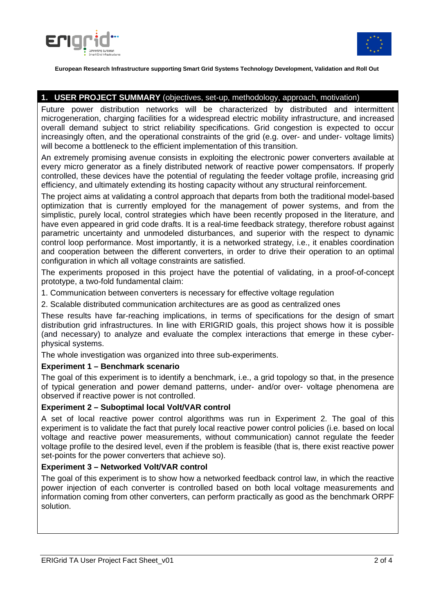



### **1. USER PROJECT SUMMARY** (objectives, set-up, methodology, approach, motivation)

Future power distribution networks will be characterized by distributed and intermittent microgeneration, charging facilities for a widespread electric mobility infrastructure, and increased overall demand subject to strict reliability specifications. Grid congestion is expected to occur increasingly often, and the operational constraints of the grid (e.g. over- and under- voltage limits) will become a bottleneck to the efficient implementation of this transition.

An extremely promising avenue consists in exploiting the electronic power converters available at every micro generator as a finely distributed network of reactive power compensators. If properly controlled, these devices have the potential of regulating the feeder voltage profile, increasing grid efficiency, and ultimately extending its hosting capacity without any structural reinforcement.

The project aims at validating a control approach that departs from both the traditional model-based optimization that is currently employed for the management of power systems, and from the simplistic, purely local, control strategies which have been recently proposed in the literature, and have even appeared in grid code drafts. It is a real-time feedback strategy, therefore robust against parametric uncertainty and unmodeled disturbances, and superior with the respect to dynamic control loop performance. Most importantly, it is a networked strategy, i.e., it enables coordination and cooperation between the different converters, in order to drive their operation to an optimal configuration in which all voltage constraints are satisfied.

The experiments proposed in this project have the potential of validating, in a proof-of-concept prototype, a two-fold fundamental claim:

1. Communication between converters is necessary for effective voltage regulation

2. Scalable distributed communication architectures are as good as centralized ones

These results have far-reaching implications, in terms of specifications for the design of smart distribution grid infrastructures. In line with ERIGRID goals, this project shows how it is possible (and necessary) to analyze and evaluate the complex interactions that emerge in these cyberphysical systems.

The whole investigation was organized into three sub-experiments.

#### **Experiment 1 – Benchmark scenario**

The goal of this experiment is to identify a benchmark, i.e., a grid topology so that, in the presence of typical generation and power demand patterns, under- and/or over- voltage phenomena are observed if reactive power is not controlled.

#### **Experiment 2 – Suboptimal local Volt/VAR control**

A set of local reactive power control algorithms was run in Experiment 2. The goal of this experiment is to validate the fact that purely local reactive power control policies (i.e. based on local voltage and reactive power measurements, without communication) cannot regulate the feeder voltage profile to the desired level, even if the problem is feasible (that is, there exist reactive power set-points for the power converters that achieve so).

#### **Experiment 3 – Networked Volt/VAR control**

The goal of this experiment is to show how a networked feedback control law, in which the reactive power injection of each converter is controlled based on both local voltage measurements and information coming from other converters, can perform practically as good as the benchmark ORPF solution.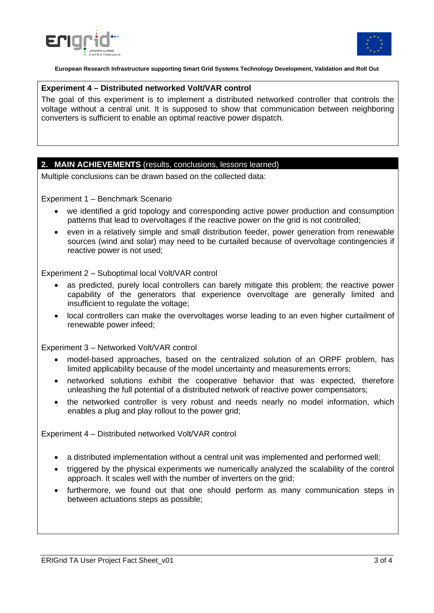



#### **Experiment 4 – Distributed networked Volt/VAR control**

The goal of this experiment is to implement a distributed networked controller that controls the voltage without a central unit. It is supposed to show that communication between neighboring converters is sufficient to enable an optimal reactive power dispatch.

#### **2. MAIN ACHIEVEMENTS** (results, conclusions, lessons learned)

Multiple conclusions can be drawn based on the collected data:

Experiment 1 – Benchmark Scenario

- we identified a grid topology and corresponding active power production and consumption patterns that lead to overvoltages if the reactive power on the grid is not controlled;
- even in a relatively simple and small distribution feeder, power generation from renewable sources (wind and solar) may need to be curtailed because of overvoltage contingencies if reactive power is not used;

Experiment 2 – Suboptimal local Volt/VAR control

- as predicted, purely local controllers can barely mitigate this problem; the reactive power capability of the generators that experience overvoltage are generally limited and insufficient to regulate the voltage;
- local controllers can make the overvoltages worse leading to an even higher curtailment of renewable power infeed;

Experiment 3 – Networked Volt/VAR control

- model-based approaches, based on the centralized solution of an ORPF problem, has limited applicability because of the model uncertainty and measurements errors;
- networked solutions exhibit the cooperative behavior that was expected, therefore unleashing the full potential of a distributed network of reactive power compensators;
- the networked controller is very robust and needs nearly no model information, which enables a plug and play rollout to the power grid;

Experiment 4 – Distributed networked Volt/VAR control

- a distributed implementation without a central unit was implemented and performed well;
- triggered by the physical experiments we numerically analyzed the scalability of the control approach. It scales well with the number of inverters on the grid;
- furthermore, we found out that one should perform as many communication steps in between actuations steps as possible;